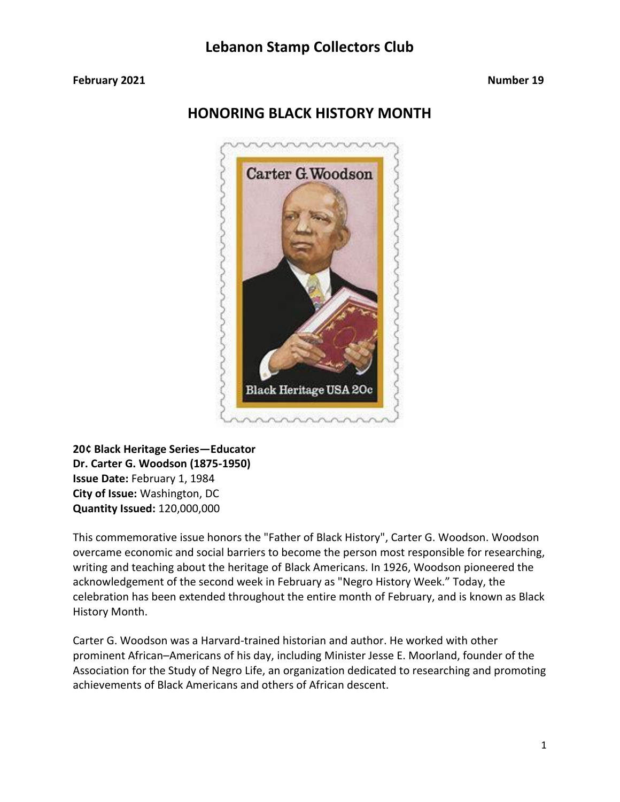#### **February 2021 Number 19**

## **HONORING BLACK HISTORY MONTH**



**20¢ Black Heritage Series—Educator Dr. Carter G. Woodson (1875-1950) Issue Date:** February 1, 1984 **City of Issue:** Washington, DC **Quantity Issued:** 120,000,000

This commemorative issue honors the "Father of Black History", Carter G. Woodson. Woodson overcame economic and social barriers to become the person most responsible for researching, writing and teaching about the heritage of Black Americans. In 1926, Woodson pioneered the acknowledgement of the second week in February as "Negro History Week." Today, the celebration has been extended throughout the entire month of February, and is known as Black History Month.

Carter G. Woodson was a Harvard-trained historian and author. He worked with other prominent African–Americans of his day, including Minister Jesse E. Moorland, founder of the Association for the Study of Negro Life, an organization dedicated to researching and promoting achievements of Black Americans and others of African descent.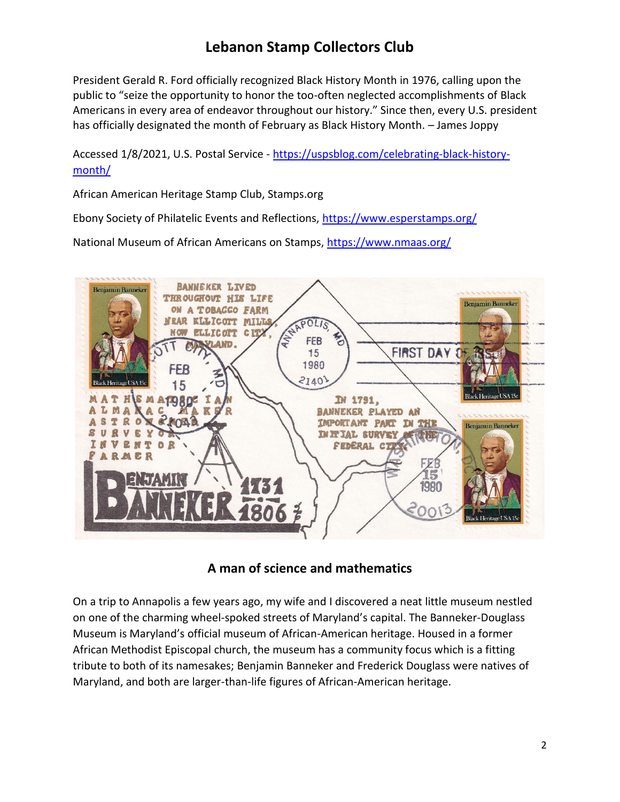President Gerald R. Ford officially recognized Black History Month in 1976, calling upon the public to "seize the opportunity to honor the too-often neglected accomplishments of Black Americans in every area of endeavor throughout our history." Since then, every U.S. president has officially designated the month of February as Black History Month. – James Joppy

Accessed 1/8/2021, U.S. Postal Service - [https://uspsblog.com/celebrating-black-history](https://uspsblog.com/celebrating-black-history-month/)[month/](https://uspsblog.com/celebrating-black-history-month/)

African American Heritage Stamp Club, Stamps.org

Ebony Society of Philatelic Events and Reflections,<https://www.esperstamps.org/>

National Museum of African Americans on Stamps,<https://www.nmaas.org/>



## **A man of science and mathematics**

On a trip to Annapolis a few years ago, my wife and I discovered a neat little museum nestled on one of the charming wheel-spoked streets of Maryland's capital. The Banneker-Douglass Museum is Maryland's official museum of African-American heritage. Housed in a former African Methodist Episcopal church, the museum has a community focus which is a fitting tribute to both of its namesakes; Benjamin Banneker and Frederick Douglass were natives of Maryland, and both are larger-than-life figures of African-American heritage.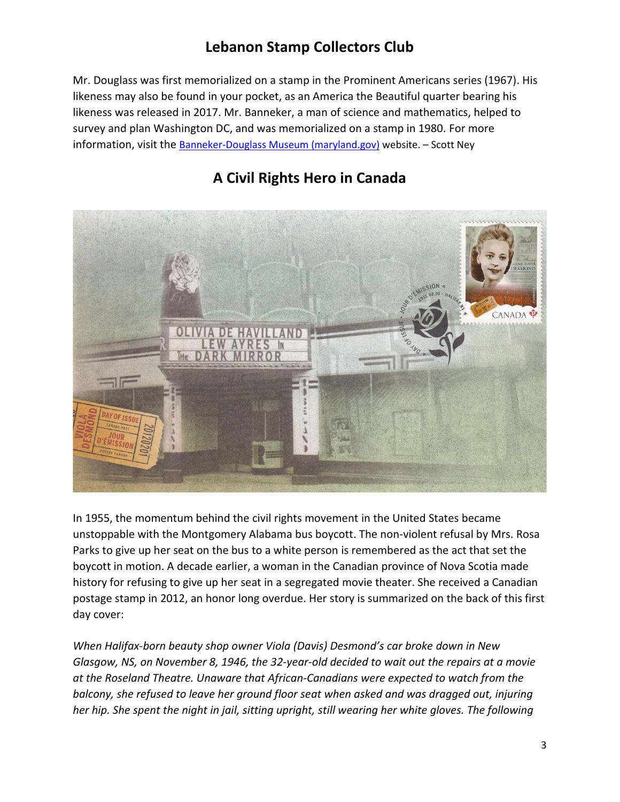Mr. Douglass was first memorialized on a stamp in the Prominent Americans series (1967). His likeness may also be found in your pocket, as an America the Beautiful quarter bearing his likeness was released in 2017. Mr. Banneker, a man of science and mathematics, helped to survey and plan Washington DC, and was memorialized on a stamp in 1980. For more information, visit the **[Banneker-Douglass Museum \(maryland.gov\)](https://bdmuseum.maryland.gov/)** website. - Scott Ney



# **A Civil Rights Hero in Canada**

In 1955, the momentum behind the civil rights movement in the United States became unstoppable with the Montgomery Alabama bus boycott. The non-violent refusal by Mrs. Rosa Parks to give up her seat on the bus to a white person is remembered as the act that set the boycott in motion. A decade earlier, a woman in the Canadian province of Nova Scotia made history for refusing to give up her seat in a segregated movie theater. She received a Canadian postage stamp in 2012, an honor long overdue. Her story is summarized on the back of this first day cover:

*When Halifax-born beauty shop owner Viola (Davis) Desmond's car broke down in New Glasgow, NS, on November 8, 1946, the 32-year-old decided to wait out the repairs at a movie at the Roseland Theatre. Unaware that African-Canadians were expected to watch from the balcony, she refused to leave her ground floor seat when asked and was dragged out, injuring her hip. She spent the night in jail, sitting upright, still wearing her white gloves. The following*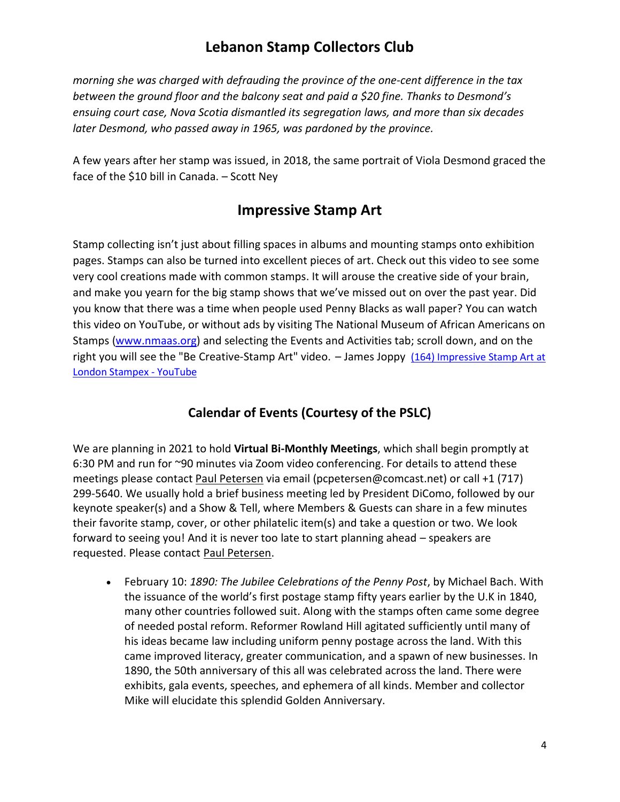*morning she was charged with defrauding the province of the one-cent difference in the tax between the ground floor and the balcony seat and paid a \$20 fine. Thanks to Desmond's ensuing court case, Nova Scotia dismantled its segregation laws, and more than six decades later Desmond, who passed away in 1965, was pardoned by the province.*

A few years after her stamp was issued, in 2018, the same portrait of Viola Desmond graced the face of the \$10 bill in Canada. – Scott Ney

## **Impressive Stamp Art**

Stamp collecting isn't just about filling spaces in albums and mounting stamps onto exhibition pages. Stamps can also be turned into excellent pieces of art. Check out this video to see some very cool creations made with common stamps. It will arouse the creative side of your brain, and make you yearn for the big stamp shows that we've missed out on over the past year. Did you know that there was a time when people used Penny Blacks as wall paper? You can watch this video on YouTube, or without ads by visiting The National Museum of African Americans on Stamps [\(www.nmaas.org\)](http://www.nmaas.org/) and selecting the Events and Activities tab; scroll down, and on the right you will see the "Be Creative-Stamp Art" video. – James Joppy [\(164\) Impressive Stamp Art at](https://www.youtube.com/watch?v=-sZC-Jpm5dg)  [London Stampex -](https://www.youtube.com/watch?v=-sZC-Jpm5dg) YouTube

## **Calendar of Events (Courtesy of the PSLC)**

We are planning in 2021 to hold **Virtual Bi-Monthly Meetings**, which shall begin promptly at 6:30 PM and run for ~90 minutes via Zoom video conferencing. For details to attend these meetings please contact [Paul Petersen](mailto:pcpetersen@comcast.net) via email (pcpetersen@comcast.net) or call +1 (717) 299-5640. We usually hold a brief business meeting led by President DiComo, followed by our keynote speaker(s) and a Show & Tell, where Members & Guests can share in a few minutes their favorite stamp, cover, or other philatelic item(s) and take a question or two. We look forward to seeing you! And it is never too late to start planning ahead – speakers are requested. Please contact [Paul Petersen.](mailto:pcpetersen@comcast.net)

• February 10: *1890: The Jubilee Celebrations of the Penny Post*, by Michael Bach. With the issuance of the world's first postage stamp fifty years earlier by the U.K in 1840, many other countries followed suit. Along with the stamps often came some degree of needed postal reform. Reformer Rowland Hill agitated sufficiently until many of his ideas became law including uniform penny postage across the land. With this came improved literacy, greater communication, and a spawn of new businesses. In 1890, the 50th anniversary of this all was celebrated across the land. There were exhibits, gala events, speeches, and ephemera of all kinds. Member and collector Mike will elucidate this splendid Golden Anniversary.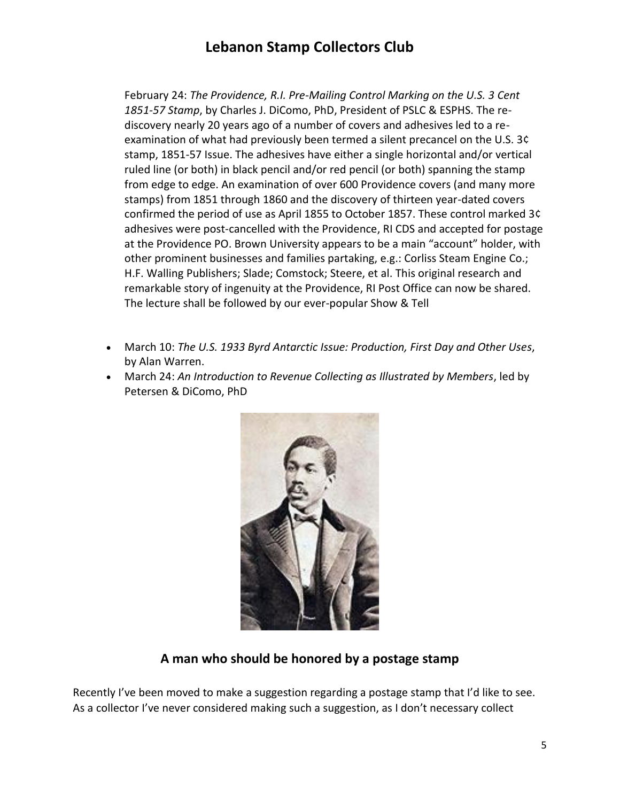February 24: *The Providence, R.I. Pre-Mailing Control Marking on the U.S. 3 Cent 1851-57 Stamp*, by Charles J. DiComo, PhD, President of PSLC & ESPHS. The rediscovery nearly 20 years ago of a number of covers and adhesives led to a reexamination of what had previously been termed a silent precancel on the U.S. 3¢ stamp, 1851-57 Issue. The adhesives have either a single horizontal and/or vertical ruled line (or both) in black pencil and/or red pencil (or both) spanning the stamp from edge to edge. An examination of over 600 Providence covers (and many more stamps) from 1851 through 1860 and the discovery of thirteen year-dated covers confirmed the period of use as April 1855 to October 1857. These control marked 3¢ adhesives were post-cancelled with the Providence, RI CDS and accepted for postage at the Providence PO. Brown University appears to be a main "account" holder, with other prominent businesses and families partaking, e.g.: Corliss Steam Engine Co.; H.F. Walling Publishers; Slade; Comstock; Steere, et al. This original research and remarkable story of ingenuity at the Providence, RI Post Office can now be shared. The lecture shall be followed by our ever-popular Show & Tell

- March 10: *The U.S. 1933 Byrd Antarctic Issue: Production, First Day and Other Uses*, by Alan Warren.
- March 24: *An Introduction to Revenue Collecting as Illustrated by Members*, led by Petersen & DiComo, PhD



### **A man who should be honored by a postage stamp**

Recently I've been moved to make a suggestion regarding a postage stamp that I'd like to see. As a collector I've never considered making such a suggestion, as I don't necessary collect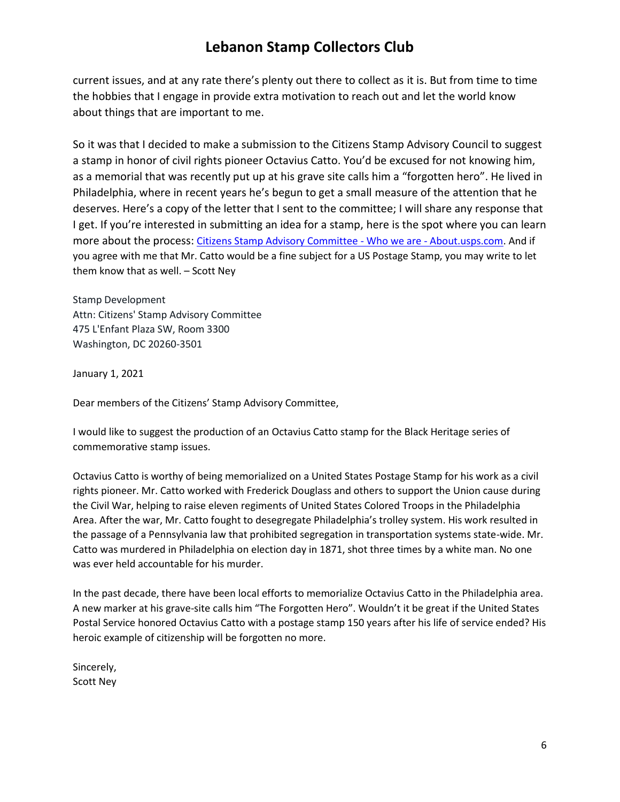current issues, and at any rate there's plenty out there to collect as it is. But from time to time the hobbies that I engage in provide extra motivation to reach out and let the world know about things that are important to me.

So it was that I decided to make a submission to the Citizens Stamp Advisory Council to suggest a stamp in honor of civil rights pioneer Octavius Catto. You'd be excused for not knowing him, as a memorial that was recently put up at his grave site calls him a "forgotten hero". He lived in Philadelphia, where in recent years he's begun to get a small measure of the attention that he deserves. Here's a copy of the letter that I sent to the committee; I will share any response that I get. If you're interested in submitting an idea for a stamp, here is the spot where you can learn more about the process: [Citizens Stamp Advisory Committee -](https://about.usps.com/who/csac/#overview) Who we are - About.usps.com. And if you agree with me that Mr. Catto would be a fine subject for a US Postage Stamp, you may write to let them know that as well. – Scott Ney

Stamp Development Attn: Citizens' Stamp Advisory Committee 475 L'Enfant Plaza SW, Room 3300 Washington, DC 20260-3501

January 1, 2021

Dear members of the Citizens' Stamp Advisory Committee,

I would like to suggest the production of an Octavius Catto stamp for the Black Heritage series of commemorative stamp issues.

Octavius Catto is worthy of being memorialized on a United States Postage Stamp for his work as a civil rights pioneer. Mr. Catto worked with Frederick Douglass and others to support the Union cause during the Civil War, helping to raise eleven regiments of United States Colored Troops in the Philadelphia Area. After the war, Mr. Catto fought to desegregate Philadelphia's trolley system. His work resulted in the passage of a Pennsylvania law that prohibited segregation in transportation systems state-wide. Mr. Catto was murdered in Philadelphia on election day in 1871, shot three times by a white man. No one was ever held accountable for his murder.

In the past decade, there have been local efforts to memorialize Octavius Catto in the Philadelphia area. A new marker at his grave-site calls him "The Forgotten Hero". Wouldn't it be great if the United States Postal Service honored Octavius Catto with a postage stamp 150 years after his life of service ended? His heroic example of citizenship will be forgotten no more.

Sincerely, Scott Ney